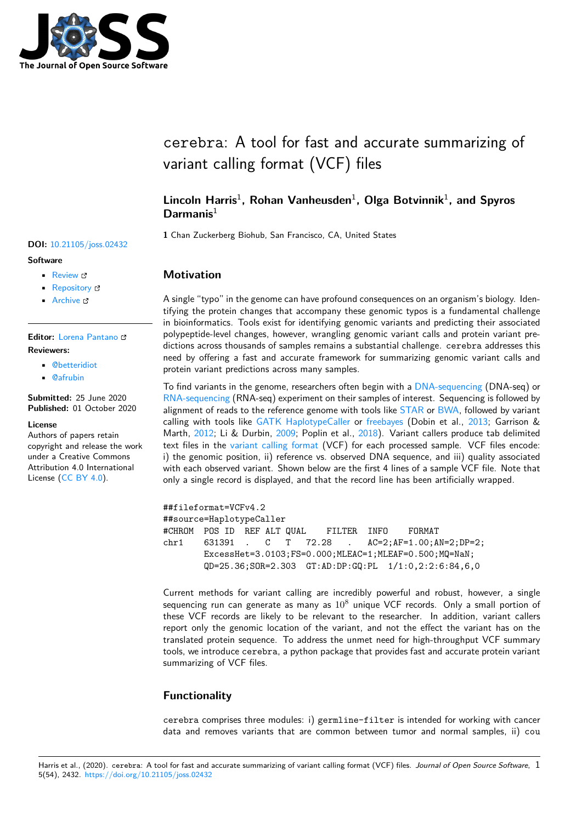

# cerebra: A tool for fast and accurate summarizing of variant calling format (VCF) files

# Lincoln Harris<sup>1</sup>, Rohan Vanheusden<sup>1</sup>, Olga Botvinnik<sup>1</sup>, and Spyros **Darmanis**<sup>1</sup>

**1** Chan Zuckerberg Biohub, San Francisco, CA, United States

# **Motivation**

A single "typo" in the genome can have profound consequences on an organism's biology. Identifying the protein changes that accompany these genomic typos is a fundamental challenge in bioinformatics. Tools exist for identifying genomic variants and predicting their associated polypeptide-level changes, however, wrangling genomic variant calls and protein variant predictions across thousands of samples remains a substantial challenge. cerebra addresses this need by offering a fast and accurate framework for summarizing genomic variant calls and protein variant predictions across many samples.

To find variants in the genome, researchers often begin with a DNA-sequencing (DNA-seq) or RNA-sequencing (RNA-seq) experiment on their samples of interest. Sequencing is followed by alignment of reads to the reference genome with tools like STAR or BWA, followed by variant calling with tools like GATK HaplotypeCaller or freebayes (Dobin et al., 2013; Garrison & Marth, 2012; Li & Durbin, 2009; Poplin et al., 2018). Varia[nt callers produce](https://en.wikipedia.org/wiki/DNA_sequencing) tab delimited [text files in the](https://en.wikipedia.org/wiki/RNA-Seq) variant calling format (VCF) for each processed sample. VCF files encode: i) the genomic position, ii) reference vs. observed DNA s[equenc](https://github.com/alexdobin/STAR)e, [and iii](http://bio-bwa.sourceforge.net/)) quality associated with each observed var[iant. Shown below are t](https://software.broadinstitute.org/gatk/documentation/tooldocs/3.8-0/org_broadinstitute_gatk_tools_walkers_haplotypecaller_HaplotypeCaller.php)he [first 4 line](https://github.com/ekg/freebayes)s of a sample V[CF fil](#page-5-0)e. Note that only a [single](#page-5-1) record is displ[ayed,](#page-5-2) and that the re[cord](#page-5-3) line has been artificially wrapped.

##fileformat=VCFv4.2 ##source=HaplotypeCaller #CHROM POS ID REF ALT QUAL FILTER INFO FORMAT chr1 631391 . C T 72.28 . AC=2;AF=1.00;AN=2;DP=2; ExcessHet=3.0103;FS=0.000;MLEAC=1;MLEAF=0.500;MQ=NaN; QD=25.36;SOR=2.303 GT:AD:DP:GQ:PL 1/1:0,2:2:6:84,6,0

Current methods for variant calling are incredibly powerful and robust, however, a single sequencing run can generate as many as  $10^8$  unique VCF records. Only a small portion of these VCF records are likely to be relevant to the researcher. In addition, variant callers report only the genomic location of the variant, and not the effect the variant has on the translated protein sequence. To address the unmet need for high-throughput VCF summary tools, we introduce cerebra, a python package that provides fast and accurate protein variant summarizing of VCF files.

# **Functionality**

cerebra comprises three modules: i) germline-filter is intended for working with cancer data and removes variants that are common between tumor and normal samples, ii) cou

#### **DOI:** 10.21105/joss.02432

#### **Software**

- Review C
- [Repository](https://doi.org/10.21105/joss.02432) &
- Archive

#### **Editor:** [Lorena P](https://github.com/czbiohub/cerebra)antano **Revie[wers:](https://doi.org/10.5281/zenodo.4050557)**

- @betteridiot
- @[afrubin](https://lpantano.github.io/)

**Submitted:** 25 June 2020 **Published:** [01 Oct](https://github.com/betteridiot)ober 2020

#### **Licen[se](https://github.com/afrubin)**

Authors of papers retain copyright and release the work under a Creative Commons Attribution 4.0 International License (CC BY 4.0).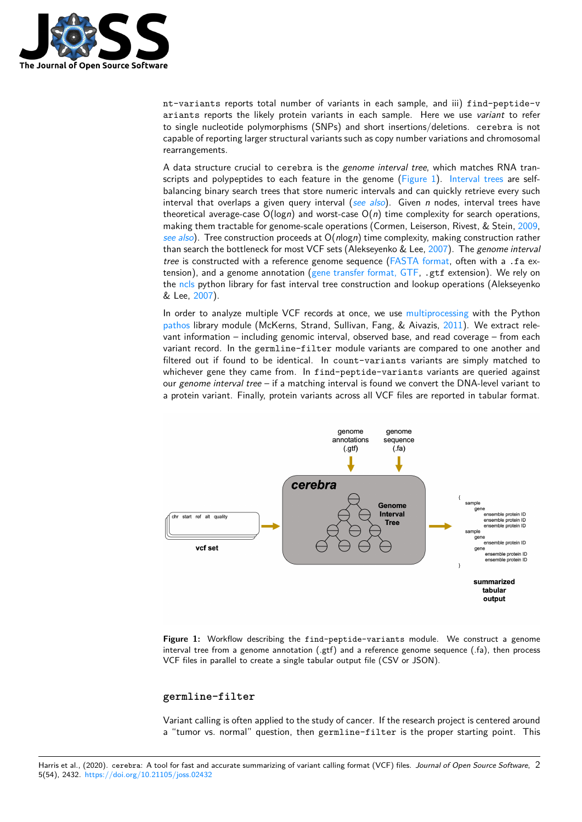

nt-variants reports total number of variants in each sample, and iii) find-peptide-v ariants reports the likely protein variants in each sample. Here we use *variant* to refer to single nucleotide polymorphisms (SNPs) and short insertions/deletions. cerebra is not capable of reporting larger structural variants such as copy number variations and chromosomal rearrangements.

A data structure crucial to cerebra is the *genome interval tree*, which matches RNA transcripts and polypeptides to each feature in the genome (Figure 1). Interval trees are selfbalancing binary search trees that store numeric intervals and can quickly retrieve every such interval that overlaps a given query interval (*see also*). Given *n* nodes, interval trees have theoretical average-case  $O(logn)$  and worst-case  $O(n)$  time complexity for search operations, making them tractable for genome-scale operations (Corme[n, Leisers](#page-1-0)on[, Rivest, & Ste](https://en.wikipedia.org/wiki/Interval_tree)in, 2009, *see also*). Tree construction proceeds at O(*n*log*n*) time complexity, making construction rather than search the bottleneck for most VCF sets ([Alekseyen](https://www.coursera.org/lecture/algorithms-part1/interval-search-trees-ot9vw)ko & Lee, 2007). The *genome interval tree* is constructed with a reference genome sequence (FASTA format, often with a .fa extension), and a genome annotation (gene transfer format, GTF, .gtf extension). We r[ely on](#page-5-4) the [ncls](https://www.coursera.org/lecture/algorithms-part1/interval-search-trees-ot9vw) python library for fast interval tree construction and lookup operations (Alekseyenko & Lee, 2007).

In order to analyze multiple VCF records at once, we use [multiproces](https://en.wikipedia.org/wiki/FASTA_format)sing with the Python pathos library module (McKerns, St[rand, Sullivan, Fang, & Aiv](https://www.gencodegenes.org/pages/data_format.html)azis, 2011). We extract relevan[t info](https://github.com/biocore-ntnu/ncls)rmation – including genomic interval, observed base, and read coverage – from each variant [recor](#page-5-5)d. In the germline-filter module variants are compared to one another and filtered out if found to be identical. In count-variants [variants are sim](https://en.wikipedia.org/wiki/Multiprocessing)ply matched to [whiche](https://pypi.org/project/pathos/)ver gene they came from. In find-peptide-variants vari[ants a](#page-5-6)re queried against our *genome interval tree* – if a matching interval is found we convert the DNA-level variant to a protein variant. Finally, protein variants across all VCF files are reported in tabular format.

<span id="page-1-0"></span>

**Figure 1:** Workflow describing the find-peptide-variants module. We construct a genome interval tree from a genome annotation (.gtf) and a reference genome sequence (.fa), then process VCF files in parallel to create a single tabular output file (CSV or JSON).

#### **germline-filter**

Variant calling is often applied to the study of cancer. If the research project is centered around a "tumor vs. normal" question, then germline-filter is the proper starting point. This

Harris et al., (2020). cerebra: A tool for fast and accurate summarizing of variant calling format (VCF) files. Journal of Open Source Software, 2 5(54), 2432. https://doi.org/10.21105/joss.02432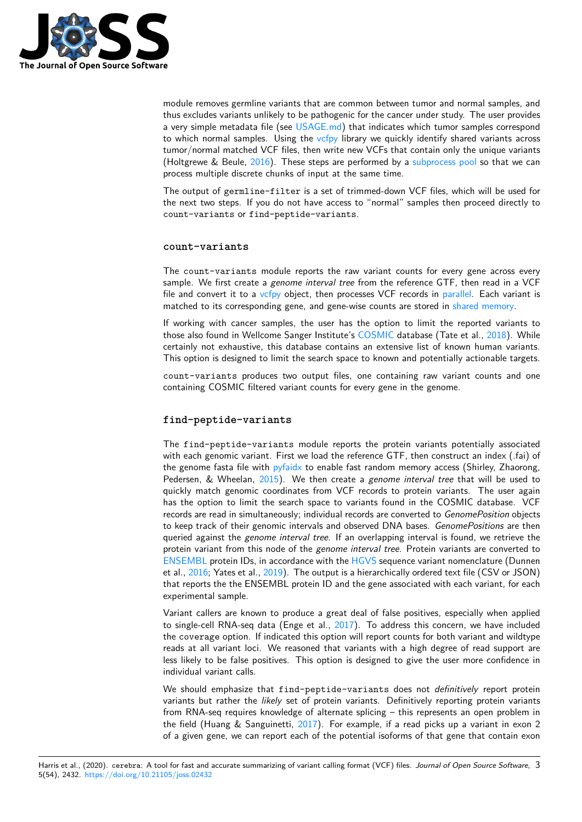

module removes germline variants that are common between tumor and normal samples, and thus excludes variants unlikely to be pathogenic for the cancer under study. The user provides a very simple metadata file (see USAGE.md) that indicates which tumor samples correspond to which normal samples. Using the vcfpy library we quickly identify shared variants across tumor/normal matched VCF files, then write new VCFs that contain only the unique variants (Holtgrewe & Beule, 2016). These steps are performed by a subprocess pool so that we can process multiple discrete chunks [of input at](https://github.com/czbiohub/cerebra/blob/master/docs/USAGE.md) the same time.

The output of germline-filter is [a set o](https://pypi.org/project/vcfpy/)f trimmed-down VCF files, which will be used for the next two steps. If you do not have access to "normal" s[amples then pro](https://pypi.org/project/pathos/)ceed directly to count-variants or [find-](#page-5-7)peptide-variants.

#### **count-variants**

The count-variants module reports the raw variant counts for every gene across every sample. We first create a *genome interval tree* from the reference GTF, then read in a VCF file and convert it to a vcfpy object, then processes VCF records in parallel. Each variant is matched to its corresponding gene, and gene-wise counts are stored in shared memory.

If working with cancer samples, the user has the option to limit the reported variants to those also found in Wellcome Sanger Institute's COSMIC database (Tate et al., 2018). While certainly not exhaustiv[e, this](https://pypi.org/project/vcfpy/) database contains an extensive list of [known](https://en.wikipedia.org/wiki/Multiprocessing) human variants. This option is designed to limit the search space to known and potenti[ally actionable ta](https://en.wikipedia.org/wiki/Shared_memory)rgets.

count-variants produces two output files, one containing raw variant co[unts](#page-6-0) and one containing COSMIC filtered variant counts for [every gene](https://cancer.sanger.ac.uk/cosmic) in the genome.

#### **find-peptide-variants**

The find-peptide-variants module reports the protein variants potentially associated with each genomic variant. First we load the reference GTF, then construct an index (.fai) of the genome fasta file with pyfaidx to enable fast random memory access (Shirley, Zhaorong, Pedersen, & Wheelan, 2015). We then create a *genome interval tree* that will be used to quickly match genomic coordinates from VCF records to protein variants. The user again has the option to limit the search space to variants found in the COSMIC database. VCF records are read in simulta[neously;](https://pypi.org/project/pyfaidx/) individual records are converted to *GenomePosition* objects to keep track of their g[enom](#page-6-1)ic intervals and observed DNA bases. *GenomePositions* are then queried against the *genome interval tree*. If an overlapping interval is found, we retrieve the protein variant from this node of the *genome interval tree*. Protein variants are converted to ENSEMBL protein IDs, in accordance with the HGVS sequence variant nomenclature (Dunnen et al., 2016; Yates et al., 2019). The output is a hierarchically ordered text file (CSV or JSON) that reports the the ENSEMBL protein ID and the gene associated with each variant, for each experimental sample.

[Variant cal](https://www.ensembl.org/index.html)lers are known to produce a great [deal of](https://varnomen.hgvs.org/) false positives, especially when applied to sin[gle-ce](#page-5-8)ll RNA-seq d[ata \(](#page-6-2)Enge et al., 2017). To address this concern, we have included the coverage option. If indicated this option will report counts for both variant and wildtype reads at all variant loci. We reasoned that variants with a high degree of read support are less likely to be false positives. This option is designed to give the user more confidence in individual variant calls.

We should emphasize that find-peptide-variants does not *definitively* report protein variants but rather the *likely* set of protein variants. Definitively reporting protein variants from RNA-seq requires knowledge of alternate splicing – this represents an open problem in the field (Huang & Sanguinetti, 2017). For example, if a read picks up a variant in exon 2 of a given gene, we can report each of the potential isoforms of that gene that contain exon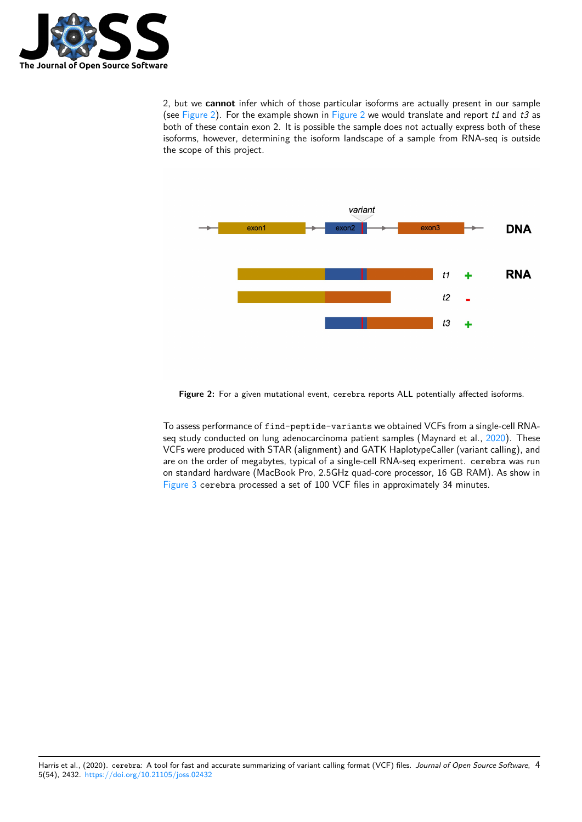

2, but we **cannot** infer which of those particular isoforms are actually present in our sample (see Figure 2). For the example shown in Figure 2 we would translate and report *t1* and *t3* as both of these contain exon 2. It is possible the sample does not actually express both of these isoforms, however, determining the isoform landscape of a sample from RNA-seq is outside the scope of this project.



**Figure 2:** For a given mutational event, cerebra reports ALL potentially affected isoforms.

To assess performance of find-peptide-variants we obtained VCFs from a single-cell RNAseq study conducted on lung adenocarcinoma patient samples (Maynard et al., 2020). These VCFs were produced with STAR (alignment) and GATK HaplotypeCaller (variant calling), and are on the order of megabytes, typical of a single-cell RNA-seq experiment. cerebra was run on standard hardware (MacBook Pro, 2.5GHz quad-core processor, 16 GB RAM). As show in Figure 3 cerebra processed a set of 100 VCF files in approximately 34 minute[s.](#page-5-10)

Harris et al., (2020). cerebra: A tool for fast and accurate summarizing of variant calling format (VCF) files. Journal of Open Source Software, 4 5(54), 2432. https://doi.org/10.21105/joss.02432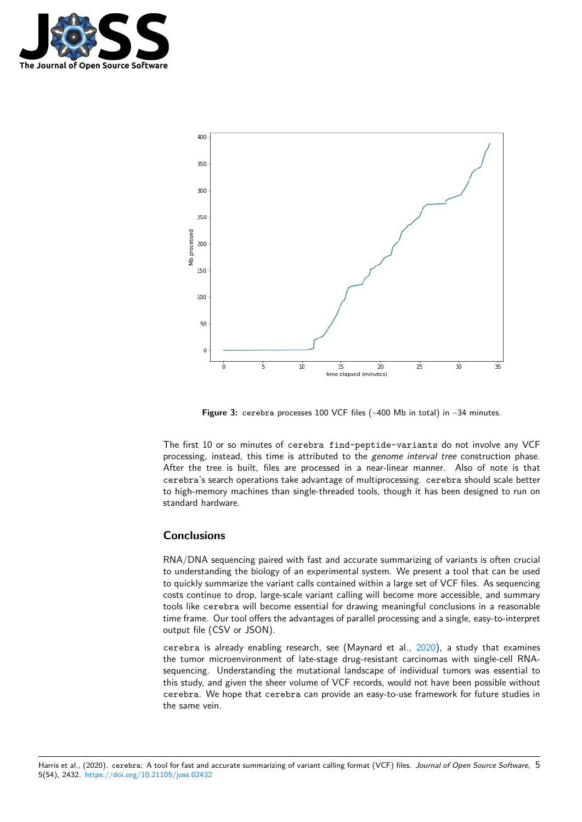



**Figure 3:** cerebra processes 100 VCF files (~400 Mb in total) in ~34 minutes.

The first 10 or so minutes of cerebra find-peptide-variants do not involve any VCF processing, instead, this time is attributed to the *genome interval tree* construction phase. After the tree is built, files are processed in a near-linear manner. Also of note is that cerebra's search operations take advantage of multiprocessing. cerebra should scale better to high-memory machines than single-threaded tools, though it has been designed to run on standard hardware.

### **Conclusions**

RNA/DNA sequencing paired with fast and accurate summarizing of variants is often crucial to understanding the biology of an experimental system. We present a tool that can be used to quickly summarize the variant calls contained within a large set of VCF files. As sequencing costs continue to drop, large-scale variant calling will become more accessible, and summary tools like cerebra will become essential for drawing meaningful conclusions in a reasonable time frame. Our tool offers the advantages of parallel processing and a single, easy-to-interpret output file (CSV or JSON).

cerebra is already enabling research, see (Maynard et al., 2020), a study that examines the tumor microenvironment of late-stage drug-resistant carcinomas with single-cell RNAsequencing. Understanding the mutational landscape of individual tumors was essential to this study, and given the sheer volume of VCF records, would not have been possible without cerebra. We hope that cerebra can provide an easy-to-use [frame](#page-5-10)work for future studies in the same vein.

Harris et al., (2020). cerebra: A tool for fast and accurate summarizing of variant calling format (VCF) files. Journal of Open Source Software, 5 5(54), 2432. https://doi.org/10.21105/joss.02432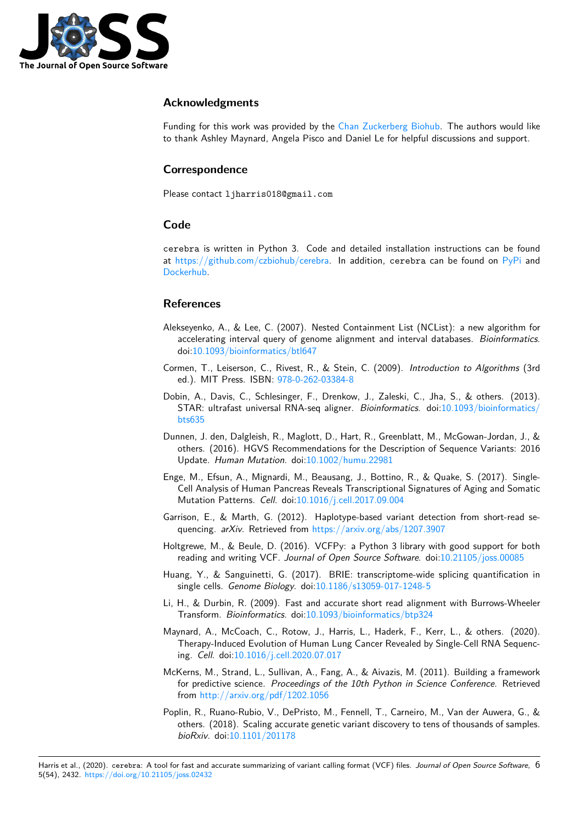

# **Acknowledgments**

Funding for this work was provided by the Chan Zuckerberg Biohub. The authors would like to thank Ashley Maynard, Angela Pisco and Daniel Le for helpful discussions and support.

## **Correspondence**

Please contact ljharris018@gmail.com

# **Code**

cerebra is written in Python 3. Code and detailed installation instructions can be found at https://github.com/czbiohub/cerebra. In addition, cerebra can be found on PyPi and Dockerhub.

### **R[eferences](https://github.com/czbiohub/cerebra)**

- [Alekseyenko](https://hub.docker.com/r/lincolnharris/cerebra), A., & Lee, C. (2007). Nested Containment List (NCList): a new algorithm for accelerating interval query of genome alignment and interval databases. *Bioinformatics*. doi:10.1093/bioinformatics/btl647
- Cormen, T., Leiserson, C., Rivest, R., & Stein, C. (2009). *Introduction to Algorithms* (3rd ed.). MIT Press. ISBN: 978-0-262-03384-8
- <span id="page-5-5"></span>Dobin, [A., Davis, C., Schlesinger, F.,](https://doi.org/10.1093/bioinformatics/btl647) Drenkow, J., Zaleski, C., Jha, S., & others. (2013). STAR: ultrafast universal RNA-seq aligner. *Bioinformatics*. doi:10.1093/bioinformatics/ bts635
- <span id="page-5-4"></span><span id="page-5-0"></span>Dunnen, J. den, Dalgleish, [R., Maglott, D., Har](https://worldcat.org/isbn/978-0-262-03384-8)t, R., Greenblatt, M., McGowan-Jordan, J., & others. (2016). HGVS Recommendations for the Description of [Sequence Variants: 2016](https://doi.org/10.1093/bioinformatics/bts635) [Update](https://doi.org/10.1093/bioinformatics/bts635). *Human Mutation*. doi:10.1002/humu.22981
- <span id="page-5-8"></span>Enge, M., Efsun, A., Mignardi, M., Beausang, J., Bottino, R., & Quake, S. (2017). Single-Cell Analysis of Human Pancreas Reveals Transcriptional Signatures of Aging and Somatic Mutation Patterns. *Cell*. doi:1[0.1016/j.cell.2017.09.0](https://doi.org/10.1002/humu.22981)04
- Garrison, E., & Marth, G. (2012). Haplotype-based variant detection from short-read sequencing. *arXiv*. Retrieved from https://arxiv.org/abs/1207.3907
- Holtgrewe, M., & Beule, D. (20[16\). VCFPy: a Python 3 li](https://doi.org/10.1016/j.cell.2017.09.004)brary with good support for both reading and writing VCF. *Journal of Open Source Software*. doi:10.21105/joss.00085
- <span id="page-5-1"></span>Huang, Y., & Sanguinetti, G. (201[7\). BRIE: transcriptome-wide sp](https://arxiv.org/abs/1207.3907)licing quantification in single cells. *Genome Biology*. doi:10.1186/s13059-017-1248-5
- <span id="page-5-7"></span>Li, H., & Durbin, R. (2009). Fast and accurate short read alignme[nt with Burrows-Whe](https://doi.org/10.21105/joss.00085)eler Transform. *Bioinformatics*. doi:10.1093/bioinformatics/btp324
- <span id="page-5-9"></span>Maynard, A., McCoach, C., Rotow, [J., Harris, L., Haderk, F., K](https://doi.org/10.1186/s13059-017-1248-5)err, L., & others. (2020). Therapy-Induced Evolution of Human Lung Cancer Revealed by Single-Cell RNA Sequencing. *Cell*. doi:10.1016/j.cell.2020.07.017
- <span id="page-5-10"></span><span id="page-5-2"></span>McKerns, M., Strand, L., Sullivan, [A., Fang, A., & Aivazis, M. \(20](https://doi.org/10.1093/bioinformatics/btp324)11). Building a framework for predictive science. *Proceedings of the 10th Python in Science Conference*. Retrieved from http://a[rxiv.org/pdf/1202.1056](https://doi.org/10.1016/j.cell.2020.07.017)
- <span id="page-5-6"></span><span id="page-5-3"></span>Poplin, R., Ruano-Rubio, V., DePristo, M., Fennell, T., Carneiro, M., Van der Auwera, G., & others. (2018). Scaling accurate genetic variant discovery to tens of thousands of samples. *bioRxiv*[. doi:10.1101/201178](http://arxiv.org/pdf/1202.1056)